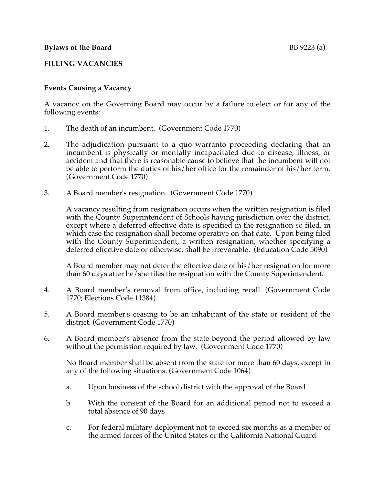# **FILLING VACANCIES**

# **Events Causing a Vacancy**

A vacancy on the Governing Board may occur by a failure to elect or for any of the following events:

- 1. The death of an incumbent. (Government Code 1770)
- 2. The adjudication pursuant to a quo warranto proceeding declaring that an incumbent is physically or mentally incapacitated due to disease, illness, or accident and that there is reasonable cause to believe that the incumbent will not be able to perform the duties of his/her office for the remainder of his/her term. (Government Code 1770)
- 3. A Board member's resignation. (Government Code 1770)

A vacancy resulting from resignation occurs when the written resignation is filed with the County Superintendent of Schools having jurisdiction over the district, except where a deferred effective date is specified in the resignation so filed, in which case the resignation shall become operative on that date. Upon being filed with the County Superintendent, a written resignation, whether specifying a deferred effective date or otherwise, shall be irrevocable. (Education Code 5090)

A Board member may not defer the effective date of his/her resignation for more than 60 days after he/she files the resignation with the County Superintendent.

- 4. A Board member's removal from office, including recall. (Government Code 1770; Elections Code 11384)
- 5. A Board member's ceasing to be an inhabitant of the state or resident of the district. (Government Code 1770)
- 6. A Board member's absence from the state beyond the period allowed by law without the permission required by law. (Government Code 1770)

No Board member shall be absent from the state for more than 60 days, except in any of the following situations: (Government Code 1064)

- a. Upon business of the school district with the approval of the Board
- b. With the consent of the Board for an additional period not to exceed a total absence of 90 days
- c. For federal military deployment not to exceed six months as a member of the armed forces of the United States or the California National Guard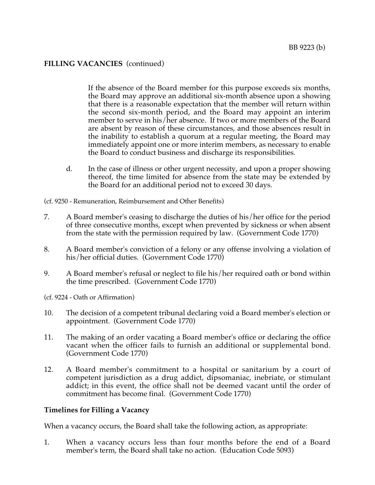### **FILLING VACANCIES** (continued)

If the absence of the Board member for this purpose exceeds six months, the Board may approve an additional six-month absence upon a showing that there is a reasonable expectation that the member will return within the second six-month period, and the Board may appoint an interim member to serve in his/her absence. If two or more members of the Board are absent by reason of these circumstances, and those absences result in the inability to establish a quorum at a regular meeting, the Board may immediately appoint one or more interim members, as necessary to enable the Board to conduct business and discharge its responsibilities.

d. In the case of illness or other urgent necessity, and upon a proper showing thereof, the time limited for absence from the state may be extended by the Board for an additional period not to exceed 30 days.

(cf. 9250 - Remuneration, Reimbursement and Other Benefits)

- 7. A Board member's ceasing to discharge the duties of his/her office for the period of three consecutive months, except when prevented by sickness or when absent from the state with the permission required by law. (Government Code 1770)
- 8. A Board member's conviction of a felony or any offense involving a violation of his/her official duties. (Government Code 1770)
- 9. A Board member's refusal or neglect to file his/her required oath or bond within the time prescribed. (Government Code 1770)

(cf. 9224 - Oath or Affirmation)

- 10. The decision of a competent tribunal declaring void a Board member's election or appointment. (Government Code 1770)
- 11. The making of an order vacating a Board member's office or declaring the office vacant when the officer fails to furnish an additional or supplemental bond. (Government Code 1770)
- 12. A Board member's commitment to a hospital or sanitarium by a court of competent jurisdiction as a drug addict, dipsomaniac, inebriate, or stimulant addict; in this event, the office shall not be deemed vacant until the order of commitment has become final. (Government Code 1770)

#### **Timelines for Filling a Vacancy**

When a vacancy occurs, the Board shall take the following action, as appropriate:

1. When a vacancy occurs less than four months before the end of a Board member's term, the Board shall take no action. (Education Code 5093)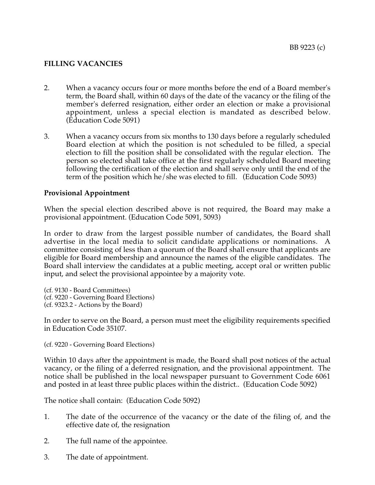# **FILLING VACANCIES**

- 2. When a vacancy occurs four or more months before the end of a Board member's term, the Board shall, within 60 days of the date of the vacancy or the filing of the member's deferred resignation, either order an election or make a provisional appointment, unless a special election is mandated as described below. (Education Code 5091)
- 3. When a vacancy occurs from six months to 130 days before a regularly scheduled Board election at which the position is not scheduled to be filled, a special election to fill the position shall be consolidated with the regular election. The person so elected shall take office at the first regularly scheduled Board meeting following the certification of the election and shall serve only until the end of the term of the position which he/she was elected to fill. (Education Code 5093)

### **Provisional Appointment**

When the special election described above is not required, the Board may make a provisional appointment. (Education Code 5091, 5093)

In order to draw from the largest possible number of candidates, the Board shall advertise in the local media to solicit candidate applications or nominations. A committee consisting of less than a quorum of the Board shall ensure that applicants are eligible for Board membership and announce the names of the eligible candidates. The Board shall interview the candidates at a public meeting, accept oral or written public input, and select the provisional appointee by a majority vote.

(cf. 9130 - Board Committees) (cf. 9220 - Governing Board Elections) (cf. 9323.2 - Actions by the Board)

In order to serve on the Board, a person must meet the eligibility requirements specified in Education Code 35107.

(cf. 9220 - Governing Board Elections)

Within 10 days after the appointment is made, the Board shall post notices of the actual vacancy, or the filing of a deferred resignation, and the provisional appointment. The notice shall be published in the local newspaper pursuant to Government Code 6061 and posted in at least three public places within the district.. (Education Code 5092)

The notice shall contain: (Education Code 5092)

- 1. The date of the occurrence of the vacancy or the date of the filing of, and the effective date of, the resignation
- 2. The full name of the appointee.
- 3. The date of appointment.